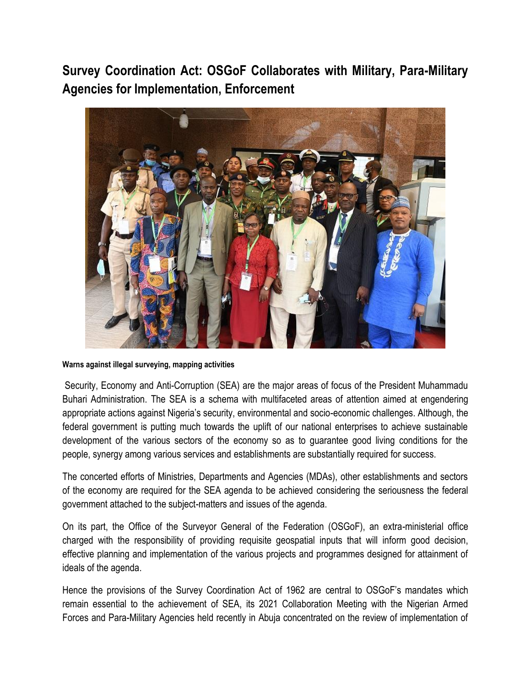**Survey Coordination Act: OSGoF Collaborates with Military, Para-Military Agencies for Implementation, Enforcement**



## **Warns against illegal surveying, mapping activities**

Security, Economy and Anti-Corruption (SEA) are the major areas of focus of the President Muhammadu Buhari Administration. The SEA is a schema with multifaceted areas of attention aimed at engendering appropriate actions against Nigeria's security, environmental and socio-economic challenges. Although, the federal government is putting much towards the uplift of our national enterprises to achieve sustainable development of the various sectors of the economy so as to guarantee good living conditions for the people, synergy among various services and establishments are substantially required for success.

The concerted efforts of Ministries, Departments and Agencies (MDAs), other establishments and sectors of the economy are required for the SEA agenda to be achieved considering the seriousness the federal government attached to the subject-matters and issues of the agenda.

On its part, the Office of the Surveyor General of the Federation (OSGoF), an extra-ministerial office charged with the responsibility of providing requisite geospatial inputs that will inform good decision, effective planning and implementation of the various projects and programmes designed for attainment of ideals of the agenda.

Hence the provisions of the Survey Coordination Act of 1962 are central to OSGoF's mandates which remain essential to the achievement of SEA, its 2021 Collaboration Meeting with the Nigerian Armed Forces and Para-Military Agencies held recently in Abuja concentrated on the review of implementation of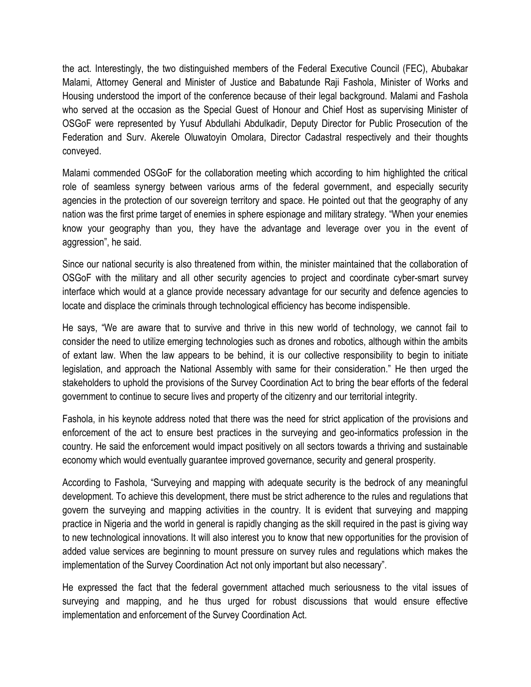the act. Interestingly, the two distinguished members of the Federal Executive Council (FEC), Abubakar Malami, Attorney General and Minister of Justice and Babatunde Raji Fashola, Minister of Works and Housing understood the import of the conference because of their legal background. Malami and Fashola who served at the occasion as the Special Guest of Honour and Chief Host as supervising Minister of OSGoF were represented by Yusuf Abdullahi Abdulkadir, Deputy Director for Public Prosecution of the Federation and Surv. Akerele Oluwatoyin Omolara, Director Cadastral respectively and their thoughts conveyed.

Malami commended OSGoF for the collaboration meeting which according to him highlighted the critical role of seamless synergy between various arms of the federal government, and especially security agencies in the protection of our sovereign territory and space. He pointed out that the geography of any nation was the first prime target of enemies in sphere espionage and military strategy. "When your enemies know your geography than you, they have the advantage and leverage over you in the event of aggression", he said.

Since our national security is also threatened from within, the minister maintained that the collaboration of OSGoF with the military and all other security agencies to project and coordinate cyber-smart survey interface which would at a glance provide necessary advantage for our security and defence agencies to locate and displace the criminals through technological efficiency has become indispensible.

He says, "We are aware that to survive and thrive in this new world of technology, we cannot fail to consider the need to utilize emerging technologies such as drones and robotics, although within the ambits of extant law. When the law appears to be behind, it is our collective responsibility to begin to initiate legislation, and approach the National Assembly with same for their consideration." He then urged the stakeholders to uphold the provisions of the Survey Coordination Act to bring the bear efforts of the federal government to continue to secure lives and property of the citizenry and our territorial integrity.

Fashola, in his keynote address noted that there was the need for strict application of the provisions and enforcement of the act to ensure best practices in the surveying and geo-informatics profession in the country. He said the enforcement would impact positively on all sectors towards a thriving and sustainable economy which would eventually guarantee improved governance, security and general prosperity.

According to Fashola, "Surveying and mapping with adequate security is the bedrock of any meaningful development. To achieve this development, there must be strict adherence to the rules and regulations that govern the surveying and mapping activities in the country. It is evident that surveying and mapping practice in Nigeria and the world in general is rapidly changing as the skill required in the past is giving way to new technological innovations. It will also interest you to know that new opportunities for the provision of added value services are beginning to mount pressure on survey rules and regulations which makes the implementation of the Survey Coordination Act not only important but also necessary".

He expressed the fact that the federal government attached much seriousness to the vital issues of surveying and mapping, and he thus urged for robust discussions that would ensure effective implementation and enforcement of the Survey Coordination Act.